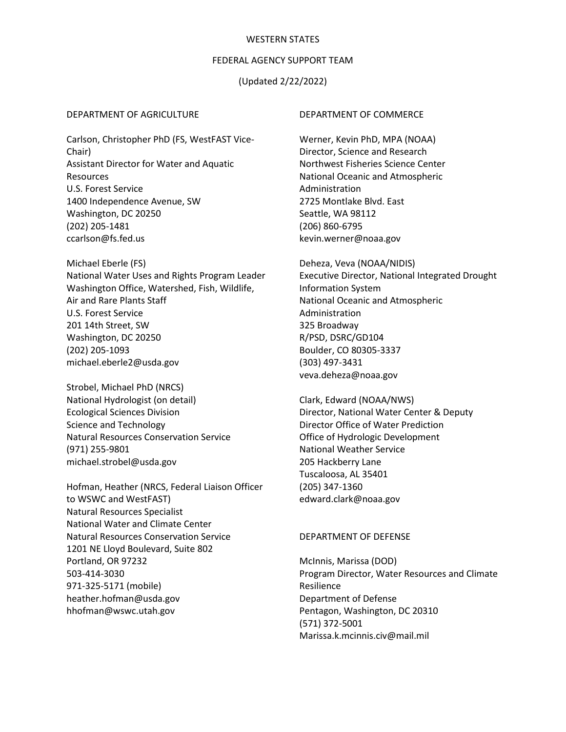#### WESTERN STATES

### FEDERAL AGENCY SUPPORT TEAM

# (Updated 2/22/2022)

#### DEPARTMENT OF AGRICULTURE

Carlson, Christopher PhD (FS, WestFAST Vice-Chair) Assistant Director for Water and Aquatic Resources U.S. Forest Service 1400 Independence Avenue, SW Washington, DC 20250 (202) 205-1481 ccarlson@fs.fed.us

Michael Eberle (FS) National Water Uses and Rights Program Leader Washington Office, Watershed, Fish, Wildlife, Air and Rare Plants Staff U.S. Forest Service 201 14th Street, SW Washington, DC 20250 (202) 205-1093 michael.eberle2@usda.gov

Strobel, Michael PhD (NRCS) National Hydrologist (on detail) Ecological Sciences Division Science and Technology Natural Resources Conservation Service (971) 255-9801 michael.strobel@usda.gov

Hofman, Heather (NRCS, Federal Liaison Officer to WSWC and WestFAST) Natural Resources Specialist National Water and Climate Center Natural Resources Conservation Service 1201 NE Lloyd Boulevard, Suite 802 Portland, OR 97232 503-414-3030 971-325-5171 (mobile) heather.hofman@usda.gov hhofman@wswc.utah.gov

#### DEPARTMENT OF COMMERCE

Werner, Kevin PhD, MPA (NOAA) Director, Science and Research Northwest Fisheries Science Center National Oceanic and Atmospheric Administration 2725 Montlake Blvd. East Seattle, WA 98112 (206) 860-6795 kevin.werner@noaa.gov

Deheza, Veva (NOAA/NIDIS) Executive Director, National Integrated Drought Information System National Oceanic and Atmospheric Administration 325 Broadway R/PSD, DSRC/GD104 Boulder, CO 80305-3337 (303) 497-3431 veva.deheza@noaa.gov

Clark, Edward (NOAA/NWS) Director, National Water Center & Deputy Director Office of Water Prediction Office of Hydrologic Development National Weather Service 205 Hackberry Lane Tuscaloosa, AL 35401 (205) 347-1360 edward.clark@noaa.gov

### DEPARTMENT OF DEFENSE

McInnis, Marissa (DOD) Program Director, Water Resources and Climate Resilience Department of Defense Pentagon, Washington, DC 20310 (571) 372-5001 Marissa.k.mcinnis.civ@mail.mil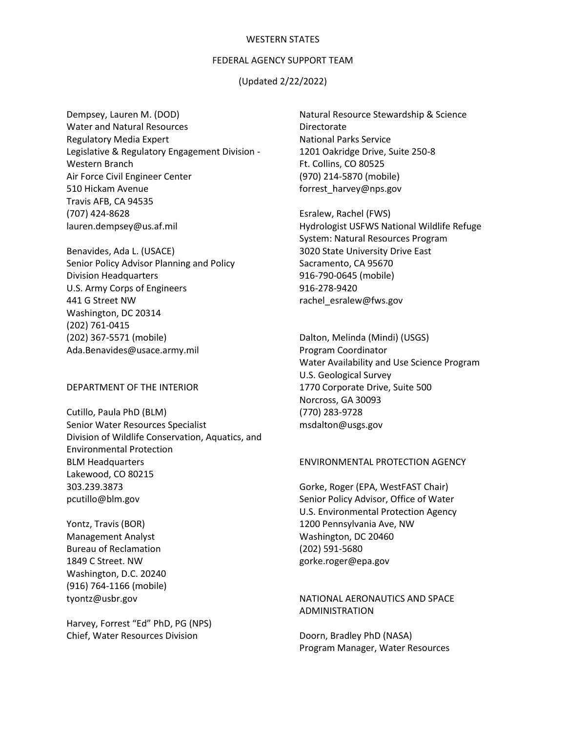#### WESTERN STATES

## FEDERAL AGENCY SUPPORT TEAM

# (Updated 2/22/2022)

Dempsey, Lauren M. (DOD) Water and Natural Resources Regulatory Media Expert Legislative & Regulatory Engagement Division - Western Branch Air Force Civil Engineer Center 510 Hickam Avenue Travis AFB, CA 94535 (707) 424-8628 lauren.dempsey@us.af.mil

Benavides, Ada L. (USACE) Senior Policy Advisor Planning and Policy Division Headquarters U.S. Army Corps of Engineers 441 G Street NW Washington, DC 20314 (202) 761-0415 (202) 367-5571 (mobile) Ada.Benavides@usace.army.mil

DEPARTMENT OF THE INTERIOR

Cutillo, Paula PhD (BLM) Senior Water Resources Specialist Division of Wildlife Conservation, Aquatics, and Environmental Protection BLM Headquarters Lakewood, CO 80215 303.239.3873 pcutillo@blm.gov

Yontz, Travis (BOR) Management Analyst Bureau of Reclamation 1849 C Street. NW Washington, D.C. 20240 (916) 764-1166 (mobile) tyontz@usbr.gov

Harvey, Forrest "Ed" PhD, PG (NPS) Chief, Water Resources Division

Natural Resource Stewardship & Science Directorate National Parks Service 1201 Oakridge Drive, Suite 250-8 Ft. Collins, CO 80525 (970) 214-5870 (mobile) forrest\_harvey@nps.gov

Esralew, Rachel (FWS) Hydrologist USFWS National Wildlife Refuge System: Natural Resources Program 3020 State University Drive East Sacramento, CA 95670 916-790-0645 (mobile) 916-278-9420 rachel\_esralew@fws.gov

Dalton, Melinda (Mindi) (USGS) Program Coordinator Water Availability and Use Science Program U.S. Geological Survey 1770 Corporate Drive, Suite 500 Norcross, GA 30093 (770) 283-9728 msdalton@usgs.gov

#### ENVIRONMENTAL PROTECTION AGENCY

Gorke, Roger (EPA, WestFAST Chair) Senior Policy Advisor, Office of Water U.S. Environmental Protection Agency 1200 Pennsylvania Ave, NW Washington, DC 20460 (202) 591-5680 gorke.roger@epa.gov

# NATIONAL AERONAUTICS AND SPACE ADMINISTRATION

Doorn, Bradley PhD (NASA) Program Manager, Water Resources